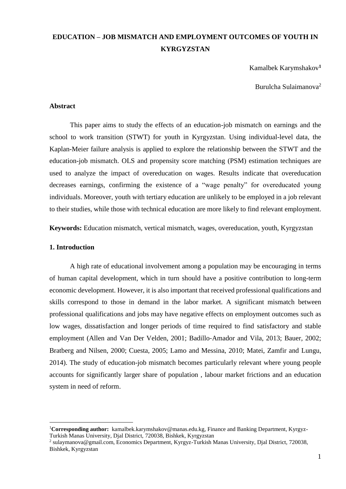## **EDUCATION – JOB MISMATCH AND EMPLOYMENT OUTCOMES OF YOUTH IN KYRGYZSTAN**

Kamalbek Karymshakov**<sup>1</sup>**

Burulcha Sulaimanova<sup>2</sup>

#### **Abstract**

This paper aims to study the effects of an education-job mismatch on earnings and the school to work transition (STWT) for youth in Kyrgyzstan. Using individual-level data, the Kaplan-Meier failure analysis is applied to explore the relationship between the STWT and the education-job mismatch. OLS and propensity score matching (PSM) estimation techniques are used to analyze the impact of overeducation on wages. Results indicate that overeducation decreases earnings, confirming the existence of a "wage penalty" for overeducated young individuals. Moreover, youth with tertiary education are unlikely to be employed in a job relevant to their studies, while those with technical education are more likely to find relevant employment.

**Keywords:** Education mismatch, vertical mismatch, wages, overeducation, youth, Kyrgyzstan

## **1. Introduction**

1

A high rate of educational involvement among a population may be encouraging in terms of human capital development, which in turn should have a positive contribution to long-term economic development. However, it is also important that received professional qualifications and skills correspond to those in demand in the labor market. A significant mismatch between professional qualifications and jobs may have negative effects on employment outcomes such as low wages, dissatisfaction and longer periods of time required to find satisfactory and stable employment (Allen and Van Der Velden, 2001; Badillo-Amador and Vila, 2013; Bauer, 2002; Bratberg and Nilsen, 2000; Cuesta, 2005; Lamo and Messina, 2010; Matei, Zamfir and Lungu, 2014). The study of education-job mismatch becomes particularly relevant where young people accounts for significantly larger share of population , labour market frictions and an education system in need of reform.

<sup>1</sup>**Corresponding author:** kamalbek.karymshakov@manas.edu.kg, Finance and Banking Department, Kyrgyz-Turkish Manas University, Djal District, 720038, Bishkek, Kyrgyzstan

<sup>&</sup>lt;sup>2</sup> sulaymanova@gmail.com, Economics Department, Kyrgyz-Turkish Manas University, Djal District, 720038, Bishkek, Kyrgyzstan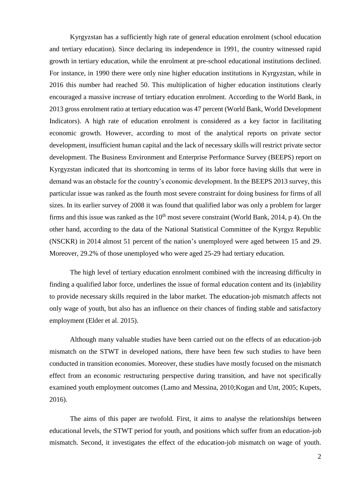Kyrgyzstan has a sufficiently high rate of general education enrolment (school education and tertiary education). Since declaring its independence in 1991, the country witnessed rapid growth in tertiary education, while the enrolment at pre-school educational institutions declined. For instance, in 1990 there were only nine higher education institutions in Kyrgyzstan, while in 2016 this number had reached 50. This multiplication of higher education institutions clearly encouraged a massive increase of tertiary education enrolment. According to the World Bank, in 2013 gross enrolment ratio at tertiary education was 47 percent (World Bank, World Development Indicators). A high rate of education enrolment is considered as a key factor in facilitating economic growth. However, according to most of the analytical reports on private sector development, insufficient human capital and the lack of necessary skills will restrict private sector development. The Business Environment and Enterprise Performance Survey (BEEPS) report on Kyrgyzstan indicated that its shortcoming in terms of its labor force having skills that were in demand was an obstacle for the country's economic development. In the BEEPS 2013 survey, this particular issue was ranked as the fourth most severe constraint for doing business for firms of all sizes. In its earlier survey of 2008 it was found that qualified labor was only a problem for larger firms and this issue was ranked as the  $10<sup>th</sup>$  most severe constraint (World Bank, 2014, p 4). On the other hand, according to the data of the National Statistical Committee of the Kyrgyz Republic (NSCKR) in 2014 almost 51 percent of the nation's unemployed were aged between 15 and 29. Moreover, 29.2% of those unemployed who were aged 25-29 had tertiary education.

The high level of tertiary education enrolment combined with the increasing difficulty in finding a qualified labor force, underlines the issue of formal education content and its (in)ability to provide necessary skills required in the labor market. The education-job mismatch affects not only wage of youth, but also has an influence on their chances of finding stable and satisfactory employment (Elder et al. 2015).

Although many valuable studies have been carried out on the effects of an education-job mismatch on the STWT in developed nations, there have been few such studies to have been conducted in transition economies. Moreover, these studies have mostly focused on the mismatch effect from an economic restructuring perspective during transition, and have not specifically examined youth employment outcomes (Lamo and Messina, 2010;Kogan and Unt, 2005; Kupets, 2016).

The aims of this paper are twofold. First, it aims to analyse the relationships between educational levels, the STWT period for youth, and positions which suffer from an education-job mismatch. Second, it investigates the effect of the education-job mismatch on wage of youth.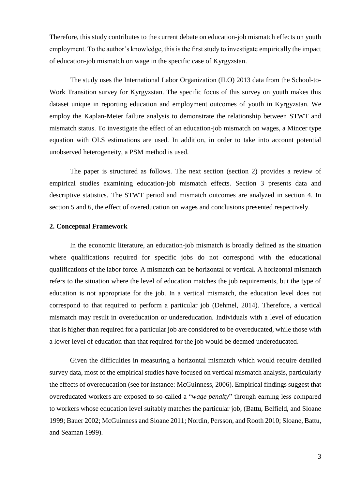Therefore, this study contributes to the current debate on education-job mismatch effects on youth employment. To the author's knowledge, this is the first study to investigate empirically the impact of education-job mismatch on wage in the specific case of Kyrgyzstan.

The study uses the International Labor Organization (ILO) 2013 data from the School-to-Work Transition survey for Kyrgyzstan. The specific focus of this survey on youth makes this dataset unique in reporting education and employment outcomes of youth in Kyrgyzstan. We employ the Kaplan-Meier failure analysis to demonstrate the relationship between STWT and mismatch status. To investigate the effect of an education-job mismatch on wages, a Mincer type equation with OLS estimations are used. In addition, in order to take into account potential unobserved heterogeneity, a PSM method is used.

The paper is structured as follows. The next section (section 2) provides a review of empirical studies examining education-job mismatch effects. Section 3 presents data and descriptive statistics. The STWT period and mismatch outcomes are analyzed in section 4. In section 5 and 6, the effect of overeducation on wages and conclusions presented respectively.

## **2. Conceptual Framework**

In the economic literature, an education-job mismatch is broadly defined as the situation where qualifications required for specific jobs do not correspond with the educational qualifications of the labor force. A mismatch can be horizontal or vertical. A horizontal mismatch refers to the situation where the level of education matches the job requirements, but the type of education is not appropriate for the job. In a vertical mismatch, the education level does not correspond to that required to perform a particular job (Dehmel, 2014). Therefore, a vertical mismatch may result in overeducation or undereducation. Individuals with a level of education that is higher than required for a particular job are considered to be overeducated, while those with a lower level of education than that required for the job would be deemed undereducated.

Given the difficulties in measuring a horizontal mismatch which would require detailed survey data, most of the empirical studies have focused on vertical mismatch analysis, particularly the effects of overeducation (see for instance: McGuinness, 2006). Empirical findings suggest that overeducated workers are exposed to so-called a "*wage penalty*" through earning less compared to workers whose education level suitably matches the particular job, (Battu, Belfield, and Sloane 1999; Bauer 2002; McGuinness and Sloane 2011; Nordin, Persson, and Rooth 2010; Sloane, Battu, and Seaman 1999).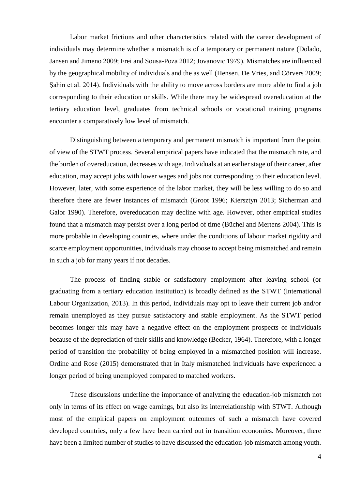Labor market frictions and other characteristics related with the career development of individuals may determine whether a mismatch is of a temporary or permanent nature (Dolado, Jansen and Jimeno 2009; Frei and Sousa-Poza 2012; Jovanovic 1979). Mismatches are influenced by the geographical mobility of individuals and the as well (Hensen, De Vries, and Cörvers 2009; Şahin et al. 2014). Individuals with the ability to move across borders are more able to find a job corresponding to their education or skills. While there may be widespread overeducation at the tertiary education level, graduates from technical schools or vocational training programs encounter a comparatively low level of mismatch.

Distinguishing between a temporary and permanent mismatch is important from the point of view of the STWT process. Several empirical papers have indicated that the mismatch rate, and the burden of overeducation, decreases with age. Individuals at an earlier stage of their career, after education, may accept jobs with lower wages and jobs not corresponding to their education level. However, later, with some experience of the labor market, they will be less willing to do so and therefore there are fewer instances of mismatch (Groot 1996; Kiersztyn 2013; Sicherman and Galor 1990). Therefore, overeducation may decline with age. However, other empirical studies found that a mismatch may persist over a long period of time (Büchel and Mertens 2004). This is more probable in developing countries, where under the conditions of labour market rigidity and scarce employment opportunities, individuals may choose to accept being mismatched and remain in such a job for many years if not decades.

The process of finding stable or satisfactory employment after leaving school (or graduating from a tertiary education institution) is broadly defined as the STWT (International Labour Organization, 2013). In this period, individuals may opt to leave their current job and/or remain unemployed as they pursue satisfactory and stable employment. As the STWT period becomes longer this may have a negative effect on the employment prospects of individuals because of the depreciation of their skills and knowledge (Becker, 1964). Therefore, with a longer period of transition the probability of being employed in a mismatched position will increase. Ordine and Rose (2015) demonstrated that in Italy mismatched individuals have experienced a longer period of being unemployed compared to matched workers.

These discussions underline the importance of analyzing the education-job mismatch not only in terms of its effect on wage earnings, but also its interrelationship with STWT. Although most of the empirical papers on employment outcomes of such a mismatch have covered developed countries, only a few have been carried out in transition economies. Moreover, there have been a limited number of studies to have discussed the education-job mismatch among youth.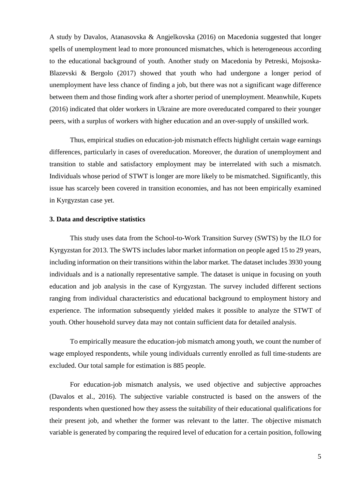A study by Davalos, Atanasovska & Angjelkovska (2016) on Macedonia suggested that longer spells of unemployment lead to more pronounced mismatches, which is heterogeneous according to the educational background of youth. Another study on Macedonia by Petreski, Mojsoska-Blazevski & Bergolo (2017) showed that youth who had undergone a longer period of unemployment have less chance of finding a job, but there was not a significant wage difference between them and those finding work after a shorter period of unemployment. Meanwhile, Kupets (2016) indicated that older workers in Ukraine are more overeducated compared to their younger peers, with a surplus of workers with higher education and an over-supply of unskilled work.

Thus, empirical studies on education-job mismatch effects highlight certain wage earnings differences, particularly in cases of overeducation. Moreover, the duration of unemployment and transition to stable and satisfactory employment may be interrelated with such a mismatch. Individuals whose period of STWT is longer are more likely to be mismatched. Significantly, this issue has scarcely been covered in transition economies, and has not been empirically examined in Kyrgyzstan case yet.

## **3. Data and descriptive statistics**

This study uses data from the School-to-Work Transition Survey (SWTS) by the ILO for Kyrgyzstan for 2013. The SWTS includes labor market information on people aged 15 to 29 years, including information on their transitions within the labor market. The dataset includes 3930 young individuals and is a nationally representative sample. The dataset is unique in focusing on youth education and job analysis in the case of Kyrgyzstan. The survey included different sections ranging from individual characteristics and educational background to employment history and experience. The information subsequently yielded makes it possible to analyze the STWT of youth. Other household survey data may not contain sufficient data for detailed analysis.

To empirically measure the education-job mismatch among youth, we count the number of wage employed respondents, while young individuals currently enrolled as full time-students are excluded. Our total sample for estimation is 885 people.

For education-job mismatch analysis, we used objective and subjective approaches (Davalos et al., 2016). The subjective variable constructed is based on the answers of the respondents when questioned how they assess the suitability of their educational qualifications for their present job, and whether the former was relevant to the latter. The objective mismatch variable is generated by comparing the required level of education for a certain position, following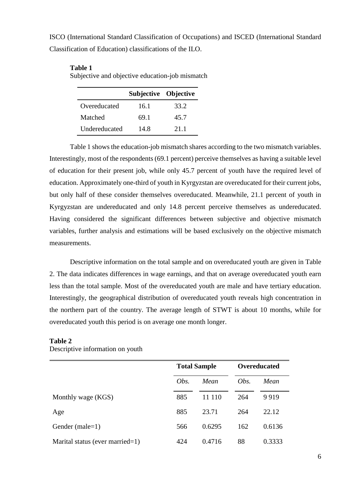ISCO (International Standard Classification of Occupations) and ISCED (International Standard Classification of Education) classifications of the ILO.

|               | Subjective Objective |      |
|---------------|----------------------|------|
| Overeducated  | 16.1                 | 33.2 |
| Matched       | 69.1                 | 45.7 |
| Undereducated | 14.8                 | 21 1 |

#### **Table 1**

Subjective and objective education-job mismatch

Table 1 shows the education-job mismatch shares according to the two mismatch variables. Interestingly, most of the respondents (69.1 percent) perceive themselves as having a suitable level of education for their present job, while only 45.7 percent of youth have the required level of education. Approximately one-third of youth in Kyrgyzstan are overeducated for their current jobs, but only half of these consider themselves overeducated. Meanwhile, 21.1 percent of youth in Kyrgyzstan are undereducated and only 14.8 percent perceive themselves as undereducated. Having considered the significant differences between subjective and objective mismatch variables, further analysis and estimations will be based exclusively on the objective mismatch measurements.

Descriptive information on the total sample and on overeducated youth are given in Table 2. The data indicates differences in wage earnings, and that on average overeducated youth earn less than the total sample. Most of the overeducated youth are male and have tertiary education. Interestingly, the geographical distribution of overeducated youth reveals high concentration in the northern part of the country. The average length of STWT is about 10 months, while for overeducated youth this period is on average one month longer.

|                                 |      | <b>Total Sample</b> |      | <b>Overeducated</b> |
|---------------------------------|------|---------------------|------|---------------------|
|                                 | Obs. | Mean                | Obs. | Mean                |
| Monthly wage (KGS)              | 885  | 11 110              | 264  | 9919                |
| Age                             | 885  | 23.71               | 264  | 22.12               |
| Gender (male= $1$ )             | 566  | 0.6295              | 162  | 0.6136              |
| Marital status (ever married=1) | 424  | 0.4716              | 88   | 0.3333              |

## **Table 2**

Descriptive information on youth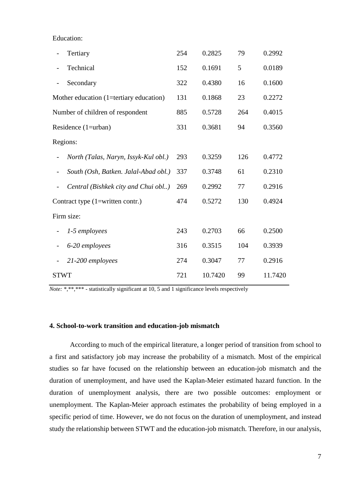Education:

|             | Tertiary                                | 254 | 0.2825  | 79  | 0.2992  |
|-------------|-----------------------------------------|-----|---------|-----|---------|
|             | Technical                               | 152 | 0.1691  | 5   | 0.0189  |
|             | Secondary                               | 322 | 0.4380  | 16  | 0.1600  |
|             | Mother education (1=tertiary education) | 131 | 0.1868  | 23  | 0.2272  |
|             | Number of children of respondent        | 885 | 0.5728  | 264 | 0.4015  |
|             | Residence (1=urban)                     | 331 | 0.3681  | 94  | 0.3560  |
|             | Regions:                                |     |         |     |         |
|             | North (Talas, Naryn, Issyk-Kul obl.)    | 293 | 0.3259  | 126 | 0.4772  |
|             | South (Osh, Batken. Jalal-Abad obl.)    | 337 | 0.3748  | 61  | 0.2310  |
|             | Central (Bishkek city and Chui obl)     | 269 | 0.2992  | 77  | 0.2916  |
|             | Contract type (1=written contr.)        | 474 | 0.5272  | 130 | 0.4924  |
|             | Firm size:                              |     |         |     |         |
|             | 1-5 employees                           | 243 | 0.2703  | 66  | 0.2500  |
|             | 6-20 employees                          | 316 | 0.3515  | 104 | 0.3939  |
|             | 21-200 employees                        | 274 | 0.3047  | 77  | 0.2916  |
| <b>STWT</b> |                                         | 721 | 10.7420 | 99  | 11.7420 |

*Note:* \*,\*\*\*\* - statistically significant at 10, 5 and 1 significance levels respectively

## **4. School-to-work transition and education-job mismatch**

According to much of the empirical literature, a longer period of transition from school to a first and satisfactory job may increase the probability of a mismatch. Most of the empirical studies so far have focused on the relationship between an education-job mismatch and the duration of unemployment, and have used the Kaplan-Meier estimated hazard function. In the duration of unemployment analysis, there are two possible outcomes: employment or unemployment. The Kaplan-Meier approach estimates the probability of being employed in a specific period of time. However, we do not focus on the duration of unemployment, and instead study the relationship between STWT and the education-job mismatch. Therefore, in our analysis,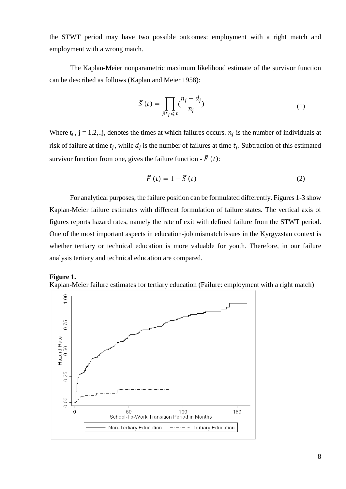the STWT period may have two possible outcomes: employment with a right match and employment with a wrong match.

The Kaplan-Meier nonparametric maximum likelihood estimate of the survivor function can be described as follows (Kaplan and Meier 1958):

$$
\widehat{S}(t) = \prod_{j|t_j \leq t} \left(\frac{n_j - d_j}{n_j}\right) \tag{1}
$$

Where  $t_j$ ,  $j = 1, 2, \ldots j$ , denotes the times at which failures occurs.  $n_j$  is the number of individuals at risk of failure at time  $t_j$ , while  $d_j$  is the number of failures at time  $t_j$ . Subtraction of this estimated survivor function from one, gives the failure function -  $\hat{F}(t)$ :

$$
\widehat{F}(t) = 1 - \widehat{S}(t) \tag{2}
$$

For analytical purposes, the failure position can be formulated differently. Figures 1-3 show Kaplan-Meier failure estimates with different formulation of failure states. The vertical axis of figures reports hazard rates, namely the rate of exit with defined failure from the STWT period. One of the most important aspects in education-job mismatch issues in the Kyrgyzstan context is whether tertiary or technical education is more valuable for youth. Therefore, in our failure analysis tertiary and technical education are compared.

#### **Figure 1.**

Kaplan-Meier failure estimates for tertiary education (Failure: employment with a right match)

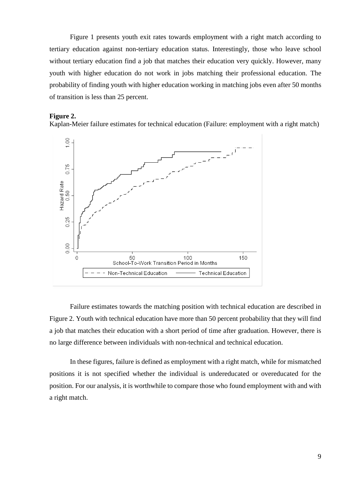Figure 1 presents youth exit rates towards employment with a right match according to tertiary education against non-tertiary education status. Interestingly, those who leave school without tertiary education find a job that matches their education very quickly. However, many youth with higher education do not work in jobs matching their professional education. The probability of finding youth with higher education working in matching jobs even after 50 months of transition is less than 25 percent.

#### **Figure 2.**

Kaplan-Meier failure estimates for technical education (Failure: employment with a right match)



Failure estimates towards the matching position with technical education are described in Figure 2. Youth with technical education have more than 50 percent probability that they will find a job that matches their education with a short period of time after graduation. However, there is no large difference between individuals with non-technical and technical education.

In these figures, failure is defined as employment with a right match, while for mismatched positions it is not specified whether the individual is undereducated or overeducated for the position. For our analysis, it is worthwhile to compare those who found employment with and with a right match.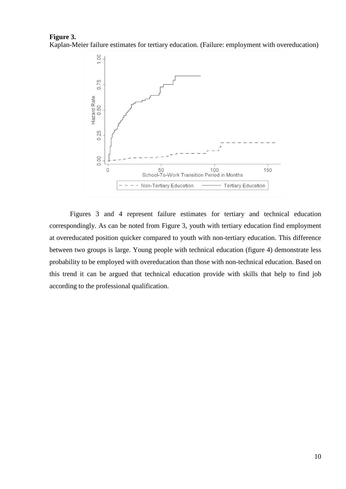#### **Figure 3.**  Kaplan-Meier failure estimates for tertiary education. (Failure: employment with overeducation)



Figures 3 and 4 represent failure estimates for tertiary and technical education correspondingly. As can be noted from Figure 3, youth with tertiary education find employment at overeducated position quicker compared to youth with non-tertiary education. This difference between two groups is large. Young people with technical education (figure 4) demonstrate less probability to be employed with overeducation than those with non-technical education. Based on this trend it can be argued that technical education provide with skills that help to find job according to the professional qualification.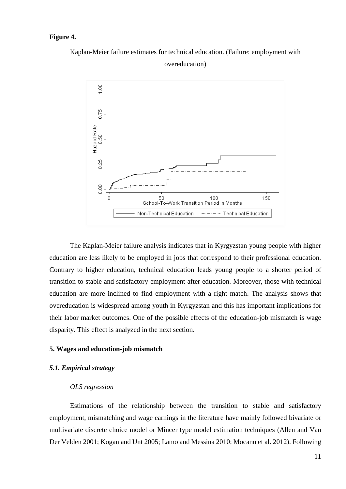## **Figure 4.**

Kaplan-Meier failure estimates for technical education. (Failure: employment with overeducation)



The Kaplan-Meier failure analysis indicates that in Kyrgyzstan young people with higher education are less likely to be employed in jobs that correspond to their professional education. Contrary to higher education, technical education leads young people to a shorter period of transition to stable and satisfactory employment after education. Moreover, those with technical education are more inclined to find employment with a right match. The analysis shows that overeducation is widespread among youth in Kyrgyzstan and this has important implications for their labor market outcomes. One of the possible effects of the education-job mismatch is wage disparity. This effect is analyzed in the next section.

## **5. Wages and education-job mismatch**

## *5.1. Empirical strategy*

#### *OLS regression*

Estimations of the relationship between the transition to stable and satisfactory employment, mismatching and wage earnings in the literature have mainly followed bivariate or multivariate discrete choice model or Mincer type model estimation techniques (Allen and Van Der Velden 2001; Kogan and Unt 2005; Lamo and Messina 2010; Mocanu et al. 2012). Following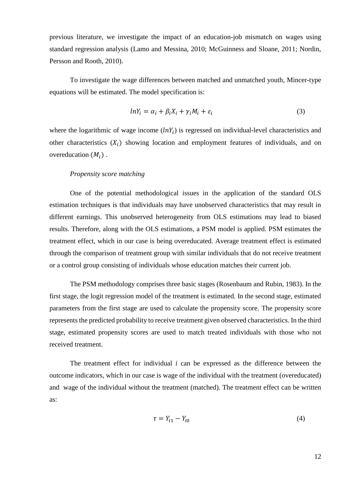previous literature, we investigate the impact of an education-job mismatch on wages using standard regression analysis (Lamo and Messina, 2010; McGuinness and Sloane, 2011; Nordin, Persson and Rooth, 2010).

To investigate the wage differences between matched and unmatched youth, Mincer-type equations will be estimated. The model specification is:

$$
lnY_i = \alpha_i + \beta_i X_i + \gamma_i M_i + \varepsilon_i \tag{3}
$$

where the logarithmic of wage income  $(lnY_i)$  is regressed on individual-level characteristics and other characteristics  $(X_i)$  showing location and employment features of individuals, and on overeducation  $(M_i)$ .

#### *Propensity score matching*

One of the potential methodological issues in the application of the standard OLS estimation techniques is that individuals may have unobserved characteristics that may result in different earnings. This unobserved heterogeneity from OLS estimations may lead to biased results. Therefore, along with the OLS estimations, a PSM model is applied. PSM estimates the treatment effect, which in our case is being overeducated. Average treatment effect is estimated through the comparison of treatment group with similar individuals that do not receive treatment or a control group consisting of individuals whose education matches their current job.

The PSM methodology comprises three basic stages (Rosenbaum and Rubin, 1983). In the first stage, the logit regression model of the treatment is estimated. In the second stage, estimated parameters from the first stage are used to calculate the propensity score. The propensity score represents the predicted probability to receive treatment given observed characteristics. In the third stage, estimated propensity scores are used to match treated individuals with those who not received treatment.

The treatment effect for individual *i* can be expressed as the difference between the outcome indicators, which in our case is wage of the individual with the treatment (overeducated) and wage of the individual without the treatment (matched). The treatment effect can be written as:

$$
\tau = Y_{i1} - Y_{i0} \tag{4}
$$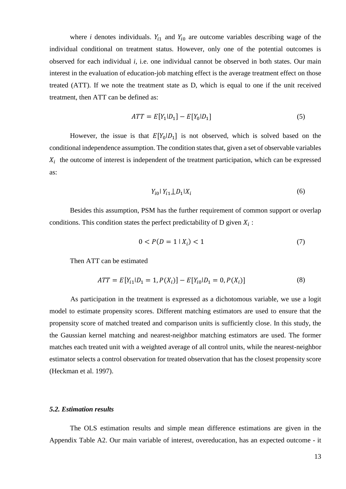where *i* denotes individuals.  $Y_{i1}$  and  $Y_{i0}$  are outcome variables describing wage of the individual conditional on treatment status. However, only one of the potential outcomes is observed for each individual *i*, i.e. one individual cannot be observed in both states. Our main interest in the evaluation of education-job matching effect is the average treatment effect on those treated (ATT). If we note the treatment state as D, which is equal to one if the unit received treatment, then ATT can be defined as:

$$
ATT = E[Y_1|D_1] - E[Y_0|D_1]
$$
\n(5)

However, the issue is that  $E[Y_0|D_1]$  is not observed, which is solved based on the conditional independence assumption. The condition states that, given a set of observable variables  $X_i$  the outcome of interest is independent of the treatment participation, which can be expressed as:

$$
Y_{i0} | Y_{i1} \perp D_1 | X_i \tag{6}
$$

Besides this assumption, PSM has the further requirement of common support or overlap conditions. This condition states the perfect predictability of D given  $X_i$ :

$$
0 < P(D = 1 \mid X_i) < 1 \tag{7}
$$

Then ATT can be estimated

$$
ATT = E[Y_{i1}|D_1 = 1, P(X_i)] - E[Y_{i0}|D_1 = 0, P(X_i)]
$$
\n(8)

As participation in the treatment is expressed as a dichotomous variable, we use a logit model to estimate propensity scores. Different matching estimators are used to ensure that the propensity score of matched treated and comparison units is sufficiently close. In this study, the the Gaussian kernel matching and nearest-neighbor matching estimators are used. The former matches each treated unit with a weighted average of all control units, while the nearest-neighbor estimator selects a control observation for treated observation that has the closest propensity score (Heckman et al. 1997).

#### *5.2. Estimation results*

The OLS estimation results and simple mean difference estimations are given in the Appendix Table A2. Our main variable of interest, overeducation, has an expected outcome - it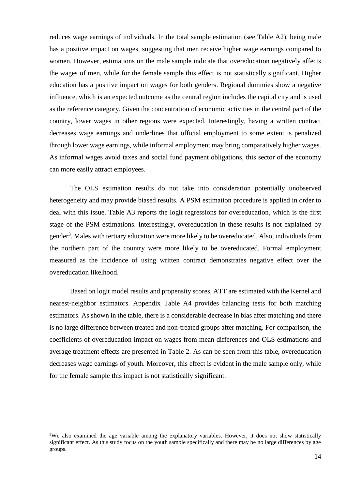reduces wage earnings of individuals. In the total sample estimation (see Table A2), being male has a positive impact on wages, suggesting that men receive higher wage earnings compared to women. However, estimations on the male sample indicate that overeducation negatively affects the wages of men, while for the female sample this effect is not statistically significant. Higher education has a positive impact on wages for both genders. Regional dummies show a negative influence, which is an expected outcome as the central region includes the capital city and is used as the reference category. Given the concentration of economic activities in the central part of the country, lower wages in other regions were expected. Interestingly, having a written contract decreases wage earnings and underlines that official employment to some extent is penalized through lower wage earnings, while informal employment may bring comparatively higher wages. As informal wages avoid taxes and social fund payment obligations, this sector of the economy can more easily attract employees.

The OLS estimation results do not take into consideration potentially unobserved heterogeneity and may provide biased results. A PSM estimation procedure is applied in order to deal with this issue. Table A3 reports the logit regressions for overeducation, which is the first stage of the PSM estimations. Interestingly, overeducation in these results is not explained by gender<sup>3</sup>. Males with tertiary education were more likely to be overeducated. Also, individuals from the northern part of the country were more likely to be overeducated. Formal employment measured as the incidence of using written contract demonstrates negative effect over the overeducation likelhood.

Based on logit model results and propensity scores, ATT are estimated with the Kernel and nearest-neighbor estimators. Appendix Table A4 provides balancing tests for both matching estimators. As shown in the table, there is a considerable decrease in bias after matching and there is no large difference between treated and non-treated groups after matching. For comparison, the coefficients of overeducation impact on wages from mean differences and OLS estimations and average treatment effects are presented in Table 2. As can be seen from this table, overeducation decreases wage earnings of youth. Moreover, this effect is evident in the male sample only, while for the female sample this impact is not statistically significant.

<u>.</u>

<sup>&</sup>lt;sup>3</sup>We also examined the age variable among the explanatory variables. However, it does not show statistically significant effect. As this study focus on the youth sample specifically and there may be no large differences by age groups.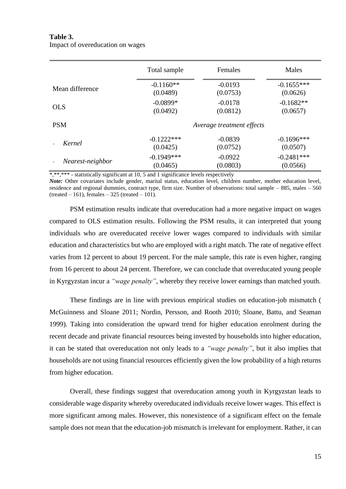## **Table 3.** Impact of overeducation on wages

|                  | Total sample | Females                   | Males        |
|------------------|--------------|---------------------------|--------------|
| Mean difference  | $-0.1160**$  | $-0.0193$                 | $-0.1655***$ |
|                  | (0.0489)     | (0.0753)                  | (0.0626)     |
| <b>OLS</b>       | $-0.0899*$   | $-0.0178$                 | $-0.1682**$  |
|                  | (0.0492)     | (0.0812)                  | (0.0657)     |
| <b>PSM</b>       |              | Average treatment effects |              |
| Kernel           | $-0.1222***$ | $-0.0839$                 | $-0.1696***$ |
|                  | (0.0425)     | (0.0752)                  | (0.0507)     |
| Nearest-neighbor | $-0.1949***$ | $-0.0922$                 | $-0.2481***$ |
|                  | (0.0465)     | (0.0803)                  | (0.0566)     |

\*,\*\*\*\* - statistically significant at 10, 5 and 1 significance levels respectively

*Note:* Other covariates include gender, marital status, education level, children number, mother education level, residence and regional dummies, contract type, firm size. Number of observations: total sample – 885, males – 560 (treated  $-161$ ), females  $-325$  (treated  $-101$ ).

PSM estimation results indicate that overeducation had a more negative impact on wages compared to OLS estimation results. Following the PSM results, it can interpreted that young individuals who are overeducated receive lower wages compared to individuals with similar education and characteristics but who are employed with a right match. The rate of negative effect varies from 12 percent to about 19 percent. For the male sample, this rate is even higher, ranging from 16 percent to about 24 percent. Therefore, we can conclude that overeducated young people in Kyrgyzstan incur a *"wage penalty"*, whereby they receive lower earnings than matched youth.

These findings are in line with previous empirical studies on education-job mismatch ( McGuinness and Sloane 2011; Nordin, Persson, and Rooth 2010; Sloane, Battu, and Seaman 1999). Taking into consideration the upward trend for higher education enrolment during the recent decade and private financial resources being invested by households into higher education, it can be stated that overeducation not only leads to a *"wage penalty"*, but it also implies that households are not using financial resources efficiently given the low probability of a high returns from higher education.

Overall, these findings suggest that overeducation among youth in Kyrgyzstan leads to considerable wage disparity whereby overeducated individuals receive lower wages. This effect is more significant among males. However, this nonexistence of a significant effect on the female sample does not mean that the education-job mismatch is irrelevant for employment. Rather, it can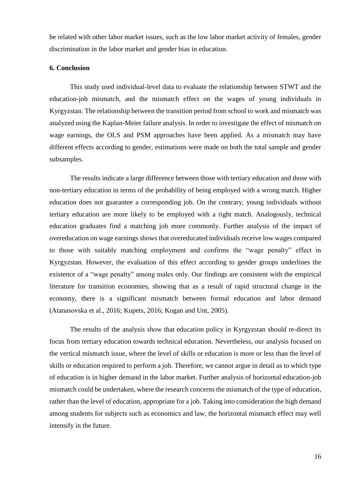be related with other labor market issues, such as the low labor market activity of females, gender discrimination in the labor market and gender bias in education.

#### **6. Conclusion**

This study used individual-level data to evaluate the relationship between STWT and the education-job mismatch, and the mismatch effect on the wages of young individuals in Kyrgyzstan. The relationship between the transition period from school to work and mismatch was analyzed using the Kaplan-Meier failure analysis. In order to investigate the effect of mismatch on wage earnings, the OLS and PSM approaches have been applied. As a mismatch may have different effects according to gender, estimations were made on both the total sample and gender subsamples.

The results indicate a large difference between those with tertiary education and those with non-tertiary education in terms of the probability of being employed with a wrong match. Higher education does not guarantee a corresponding job. On the contrary, young individuals without tertiary education are more likely to be employed with a right match. Analogously, technical education graduates find a matching job more commonly. Further analysis of the impact of overeducation on wage earnings shows that overeducated individuals receive low wages compared to those with suitably matching employment and confirms the "wage penalty" effect in Kyrgyzstan. However, the evaluation of this effect according to gender groups underlines the existence of a "wage penalty" among males only. Our findings are consistent with the empirical literature for transition economies, showing that as a result of rapid structural change in the economy, there is a significant mismatch between formal education and labor demand (Atanasovska et al., 2016; Kupets, 2016; Kogan and Unt, 2005).

The results of the analysis show that education policy in Kyrgyzstan should re-direct its focus from tertiary education towards technical education. Nevertheless, our analysis focused on the vertical mismatch issue, where the level of skills or education is more or less than the level of skills or education required to perform a job. Therefore, we cannot argue in detail as to which type of education is in higher demand in the labor market. Further analysis of horizontal education-job mismatch could be undertaken, where the research concerns the mismatch of the type of education, rather than the level of education, appropriate for a job. Taking into consideration the high demand among students for subjects such as economics and law, the horizontal mismatch effect may well intensify in the future.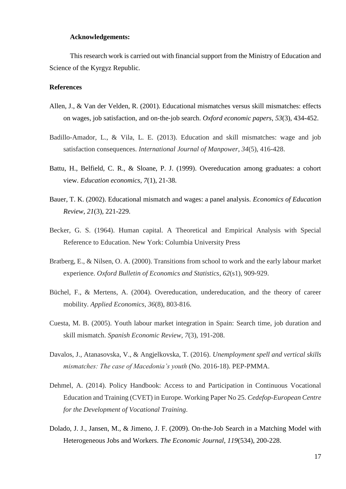#### **Acknowledgements:**

This research work is carried out with financial support from the Ministry of Education and Science of the Kyrgyz Republic.

## **References**

- Allen, J., & Van der Velden, R. (2001). Educational mismatches versus skill mismatches: effects on wages, job satisfaction, and on‐the‐job search. *Oxford economic papers*, *53*(3), 434-452.
- Badillo-Amador, L., & Vila, L. E. (2013). Education and skill mismatches: wage and job satisfaction consequences. *International Journal of Manpower*, *34*(5), 416-428.
- Battu, H., Belfield, C. R., & Sloane, P. J. (1999). Overeducation among graduates: a cohort view. *Education economics*, *7*(1), 21-38.
- Bauer, T. K. (2002). Educational mismatch and wages: a panel analysis. *Economics of Education Review*, *21*(3), 221-229.
- Becker, G. S. (1964). Human capital. A Theoretical and Empirical Analysis with Special Reference to Education. New York: Columbia University Press
- Bratberg, E., & Nilsen, O. A. (2000). Transitions from school to work and the early labour market experience. *Oxford Bulletin of Economics and Statistics*, *62*(s1), 909-929.
- Büchel, F., & Mertens, A. (2004). Overeducation, undereducation, and the theory of career mobility. *Applied Economics*, *36*(8), 803-816.
- Cuesta, M. B. (2005). Youth labour market integration in Spain: Search time, job duration and skill mismatch. *Spanish Economic Review*, *7*(3), 191-208.
- Davalos, J., Atanasovska, V., & Angjelkovska, T. (2016). *Unemployment spell and vertical skills mismatches: The case of Macedonia's youth* (No. 2016-18). PEP-PMMA.
- Dehmel, A. (2014). Policy Handbook: Access to and Participation in Continuous Vocational Education and Training (CVET) in Europe. Working Paper No 25. *Cedefop-European Centre for the Development of Vocational Training*.
- Dolado, J. J., Jansen, M., & Jimeno, J. F. (2009). On-the-Job Search in a Matching Model with Heterogeneous Jobs and Workers. *The Economic Journal*, *119*(534), 200-228.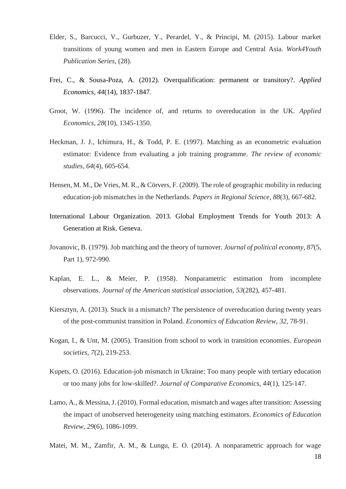- Elder, S., Barcucci, V., Gurbuzer, Y., Perardel, Y., & Principi, M. (2015). Labour market transitions of young women and men in Eastern Europe and Central Asia. *Work4Youth Publication Series*, (28).
- Frei, C., & Sousa-Poza, A. (2012). Overqualification: permanent or transitory?. *Applied Economics*, *44*(14), 1837-1847.
- Groot, W. (1996). The incidence of, and returns to overeducation in the UK. *Applied Economics*, *28*(10), 1345-1350.
- Heckman, J. J., Ichimura, H., & Todd, P. E. (1997). Matching as an econometric evaluation estimator: Evidence from evaluating a job training programme. *The review of economic studies*, *64*(4), 605-654.
- Hensen, M. M., De Vries, M. R., & Cörvers, F. (2009). The role of geographic mobility in reducing education‐job mismatches in the Netherlands. *Papers in Regional Science*, *88*(3), 667-682.
- International Labour Organization. 2013. Global Employment Trends for Youth 2013: A Generation at Risk. Geneva.
- Jovanovic, B. (1979). Job matching and the theory of turnover. *Journal of political economy*, *87*(5, Part 1), 972-990.
- Kaplan, E. L., & Meier, P. (1958). Nonparametric estimation from incomplete observations. *Journal of the American statistical association*, *53*(282), 457-481.
- Kiersztyn, A. (2013). Stuck in a mismatch? The persistence of overeducation during twenty years of the post-communist transition in Poland. *Economics of Education Review*, *32*, 78-91.
- Kogan, I., & Unt, M. (2005). Transition from school to work in transition economies. *European societies*, *7*(2), 219-253.
- Kupets, O. (2016). Education-job mismatch in Ukraine: Too many people with tertiary education or too many jobs for low-skilled?. *Journal of Comparative Economics*, *44*(1), 125-147.
- Lamo, A., & Messina, J. (2010). Formal education, mismatch and wages after transition: Assessing the impact of unobserved heterogeneity using matching estimators. *Economics of Education Review*, *29*(6), 1086-1099.

Matei, M. M., Zamfir, A. M., & Lungu, E. O. (2014). A nonparametric approach for wage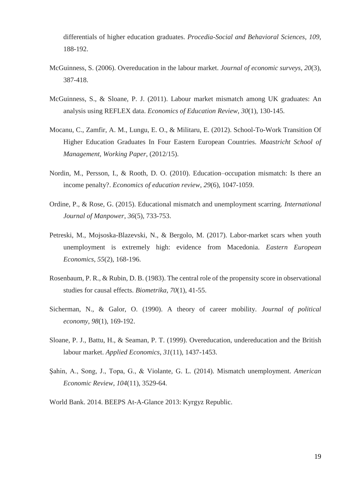differentials of higher education graduates. *Procedia-Social and Behavioral Sciences*, *109*, 188-192.

- McGuinness, S. (2006). Overeducation in the labour market. *Journal of economic surveys*, *20*(3), 387-418.
- McGuinness, S., & Sloane, P. J. (2011). Labour market mismatch among UK graduates: An analysis using REFLEX data. *Economics of Education Review*, *30*(1), 130-145.
- Mocanu, C., Zamfir, A. M., Lungu, E. O., & Militaru, E. (2012). School-To-Work Transition Of Higher Education Graduates In Four Eastern European Countries. *Maastricht School of Management, Working Paper*, (2012/15).
- Nordin, M., Persson, I., & Rooth, D. O. (2010). Education–occupation mismatch: Is there an income penalty?. *Economics of education review*, *29*(6), 1047-1059.
- Ordine, P., & Rose, G. (2015). Educational mismatch and unemployment scarring. *International Journal of Manpower*, *36*(5), 733-753.
- Petreski, M., Mojsoska-Blazevski, N., & Bergolo, M. (2017). Labor-market scars when youth unemployment is extremely high: evidence from Macedonia. *Eastern European Economics*, *55*(2), 168-196.
- Rosenbaum, P. R., & Rubin, D. B. (1983). The central role of the propensity score in observational studies for causal effects. *Biometrika*, *70*(1), 41-55.
- Sicherman, N., & Galor, O. (1990). A theory of career mobility. *Journal of political economy*, *98*(1), 169-192.
- Sloane, P. J., Battu, H., & Seaman, P. T. (1999). Overeducation, undereducation and the British labour market. *Applied Economics*, *31*(11), 1437-1453.
- Şahin, A., Song, J., Topa, G., & Violante, G. L. (2014). Mismatch unemployment. *American Economic Review*, *104*(11), 3529-64.
- World Bank. 2014. BEEPS At-A-Glance 2013: Kyrgyz Republic.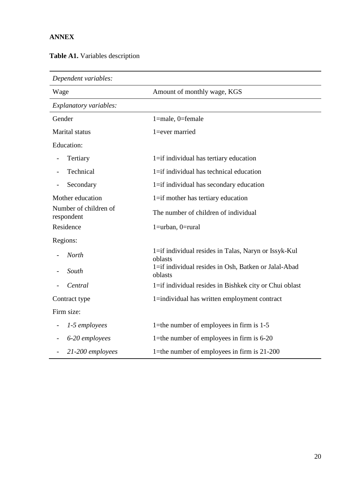## **ANNEX**

|  |  | Table A1. Variables description |
|--|--|---------------------------------|
|--|--|---------------------------------|

| Dependent variables:                |                                                                 |
|-------------------------------------|-----------------------------------------------------------------|
| Wage                                | Amount of monthly wage, KGS                                     |
| Explanatory variables:              |                                                                 |
| Gender                              | 1=male, 0=female                                                |
| Marital status                      | 1=ever married                                                  |
| <b>Education:</b>                   |                                                                 |
| Tertiary                            | 1=if individual has tertiary education                          |
| Technical                           | 1=if individual has technical education                         |
| Secondary                           | 1=if individual has secondary education                         |
| Mother education                    | 1=if mother has tertiary education                              |
| Number of children of<br>respondent | The number of children of individual                            |
| Residence                           | $1 =$ urban, $0 =$ rural                                        |
| Regions:                            |                                                                 |
| <b>North</b>                        | 1=if individual resides in Talas, Naryn or Issyk-Kul<br>oblasts |
| South                               | 1=if individual resides in Osh, Batken or Jalal-Abad<br>oblasts |
| Central                             | 1=if individual resides in Bishkek city or Chui oblast          |
| Contract type                       | 1=individual has written employment contract                    |
| Firm size:                          |                                                                 |
| 1-5 employees                       | 1=the number of employees in firm is $1-5$                      |
| 6-20 employees                      | 1=the number of employees in firm is $6-20$                     |
| 21-200 employees                    | 1=the number of employees in firm is 21-200                     |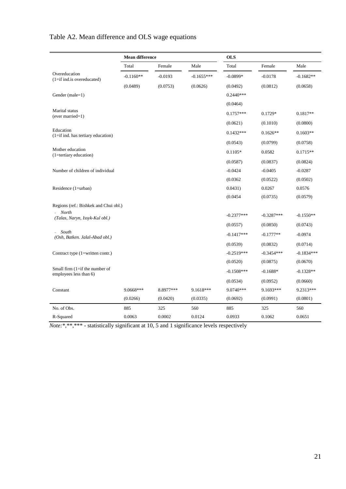|                                                               | <b>Mean difference</b> |           |              | <b>OLS</b>   |              |              |
|---------------------------------------------------------------|------------------------|-----------|--------------|--------------|--------------|--------------|
|                                                               | Total                  | Female    | Male         | Total        | Female       | Male         |
| Overeducation<br>$(1 = if ind.is overreduced)$                | $-0.1160**$            | $-0.0193$ | $-0.1655***$ | $-0.0899*$   | $-0.0178$    | $-0.1682**$  |
|                                                               | (0.0489)               | (0.0753)  | (0.0626)     | (0.0492)     | (0.0812)     | (0.0658)     |
| Gender (male=1)                                               |                        |           |              | $0.2440***$  |              |              |
|                                                               |                        |           |              | (0.0464)     |              |              |
| Marital status<br>(ever married=1)                            |                        |           |              | $0.1757***$  | $0.1729*$    | $0.1817**$   |
|                                                               |                        |           |              | (0.0621)     | (0.1010)     | (0.0800)     |
| Education<br>(1=if ind. has tertiary education)               |                        |           |              | $0.1432***$  | $0.1626**$   | $0.1603**$   |
|                                                               |                        |           |              | (0.0543)     | (0.0799)     | (0.0758)     |
| Mother education<br>(1=tertiary education)                    |                        |           |              | $0.1105*$    | 0.0582       | $0.1715**$   |
|                                                               |                        |           |              | (0.0587)     | (0.0837)     | (0.0824)     |
| Number of children of individual                              |                        |           |              | $-0.0424$    | $-0.0405$    | $-0.0287$    |
|                                                               |                        |           |              | (0.0362)     | (0.0522)     | (0.0502)     |
| Residence (1=urban)                                           |                        |           |              | 0.0431)      | 0.0267       | 0.0576       |
|                                                               |                        |           |              | (0.0454)     | (0.0735)     | (0.0579)     |
| Regions (ref.: Bishkek and Chui obl.)                         |                        |           |              |              |              |              |
| North<br>(Talas, Naryn, Issyk-Kul obl.)                       |                        |           |              | $-0.2377***$ | $-0.3287***$ | $-0.1550**$  |
|                                                               |                        |           |              | (0.0557)     | (0.0850)     | (0.0743)     |
| South<br>$\bar{a}$<br>(Osh, Batken. Jalal-Abad obl.)          |                        |           |              | $-0.1417***$ | $-0.1777**$  | $-0.0974$    |
|                                                               |                        |           |              | (0.0539)     | (0.0832)     | (0.0714)     |
| Contract type (1=written contr.)                              |                        |           |              | $-0.2519***$ | $-0.3454***$ | $-0.1834***$ |
|                                                               |                        |           |              | (0.0520)     | (0.0875)     | (0.0670)     |
| Small firm $(1 = if the number of)$<br>employees less than 6) |                        |           |              | $-0.1508***$ | $-0.1688*$   | $-0.1328**$  |
|                                                               |                        |           |              | (0.0534)     | (0.0952)     | (0.0660)     |
| Constant                                                      | 9.0668***              | 8.8977*** | 9.1618***    | 9.0740***    | $9.1693***$  | 9.2313***    |
|                                                               | (0.0266)               | (0.0420)  | (0.0335)     | (0.0692)     | (0.0991)     | (0.0801)     |
| No. of Obs.                                                   | 885                    | 325       | 560          | 885          | 325          | 560          |
| R-Squared                                                     | 0.0063                 | 0.0002    | 0.0124       | 0.0933       | 0.1062       | 0.0651       |

# Table A2. Mean difference and OLS wage equations

*Note:*\*,\*\*\*\* - statistically significant at 10, 5 and 1 significance levels respectively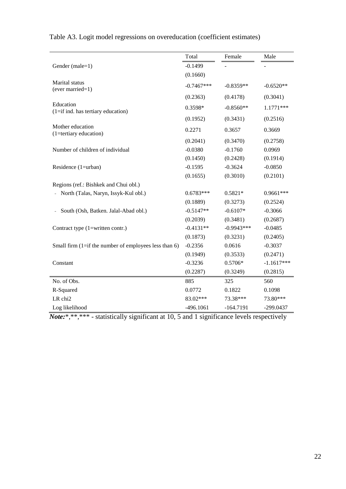|                                                           | Total        | Female       | Male         |
|-----------------------------------------------------------|--------------|--------------|--------------|
| Gender (male=1)                                           | $-0.1499$    |              |              |
|                                                           | (0.1660)     |              |              |
| Marital status<br>(ever married=1)                        | $-0.7467***$ | $-0.8359**$  | $-0.6520**$  |
|                                                           | (0.2363)     | (0.4178)     | (0.3041)     |
| Education<br>$(1 = if ind. has territory education)$      | 0.3598*      | $-0.8560**$  | 1.1771***    |
|                                                           | (0.1952)     | (0.3431)     | (0.2516)     |
| Mother education<br>(1=tertiary education)                | 0.2271       | 0.3657       | 0.3669       |
|                                                           | (0.2041)     | (0.3470)     | (0.2758)     |
| Number of children of individual                          | $-0.0380$    | $-0.1760$    | 0.0969       |
|                                                           | (0.1450)     | (0.2428)     | (0.1914)     |
| Residence (1=urban)                                       | $-0.1595$    | $-0.3624$    | $-0.0850$    |
|                                                           | (0.1655)     | (0.3010)     | (0.2101)     |
| Regions (ref.: Bishkek and Chui obl.)                     |              |              |              |
| North (Talas, Naryn, Issyk-Kul obl.)                      | $0.6783***$  | $0.5821*$    | $0.9661***$  |
|                                                           | (0.1889)     | (0.3273)     | (0.2524)     |
| South (Osh, Batken. Jalal-Abad obl.)                      | $-0.5147**$  | $-0.6107*$   | $-0.3066$    |
|                                                           | (0.2039)     | (0.3481)     | (0.2687)     |
| Contract type (1=written contr.)                          | $-0.4131**$  | $-0.9943***$ | $-0.0485$    |
|                                                           | (0.1873)     | (0.3231)     | (0.2405)     |
| Small firm $(1 = if the number of employees less than 6)$ | $-0.2356$    | 0.0616       | $-0.3037$    |
|                                                           | (0.1949)     | (0.3533)     | (0.2471)     |
| Constant                                                  | $-0.3236$    | $0.5706*$    | $-1.1617***$ |
|                                                           | (0.2287)     | (0.3249)     | (0.2815)     |
| No. of Obs.                                               | 885          | 325          | 560          |
| R-Squared                                                 | 0.0772       | 0.1822       | 0.1098       |
| LR chi2                                                   | 83.02***     | 73.38***     | 73.80***     |
| Log likelihood                                            | $-496.1061$  | $-164.7191$  | -299.0437    |

Table A3. Logit model regressions on overeducation (coefficient estimates)

*Note:*\*,\*\*,\*\*\* - statistically significant at 10, 5 and 1 significance levels respectively